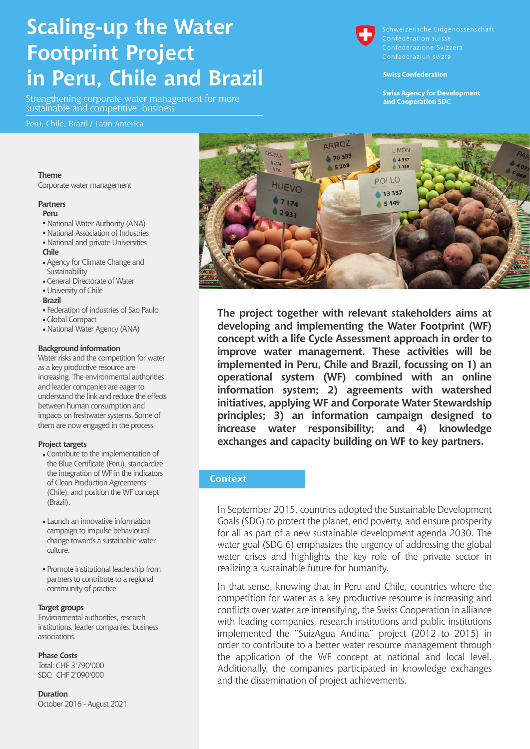# **Scaling-up the Water Footprint Project in Peru, Chile and Brazil**

Strengthening corporate water management for more sustainable and competitive business

#### Peru, Chile, Brazil / Latin America

#### **Theme**

Corporate water management

#### **Partners**

#### **Peru**

- National Water Authority (ANA)
- National Association of Industries
- National and private Universities

#### **Chile**

- Agency for Climate Change and Sustainability
- General Directorate of Water

#### University of Chile

#### **Brazil**

- Federation of industries of Sao Paulo
- Global Compact
- National Water Agency (ANA)

#### **Background information**

Water risks and the competition for water as a key productive resource are increasing. The environmental authorities and leader companies are eager to understand the link and reduce the effects between human consumption and impacts on freshwater systems. Some of them are now engaged in the process.

#### **Project targets**

- Contribute to the implementation of the Blue Certificate (Peru), standardize the integration of WF in the indicators of Clean Production Agreements (Chile), and position the WF concept (Brazil).
- Launch an innovative information campaign to impulse behavioural change towards a sustainable water culture.
- Promote institutional leadership from partners to contribute to a regional community of practice.

#### **Target groups**

Environmental authorities, research institutions, leader companies, business associations.

#### **Phase Costs**

Total: CHF 3'790'000 SDC: CHF 2'090'000

**Duration** October 2016 - August 2021



Schweizerische Eidgenossenschaft Confédération suisse Confederazione Svizzera

#### **Swiss Confederation**

**Swiss Agency for Development and Cooperation SDC** 



**The project together with relevant stakeholders aims at developing and implementing the Water Footprint (WF) concept with a life Cycle Assessment approach in order to improve water management. These activities will be implemented in Peru, Chile and Brazil, focussing on 1) an operational system (WF) combined with an online information system; 2) agreements with watershed initiatives, applying WF and Corporate Water Stewardship principles; 3) an information campaign designed to increase water responsibility; and 4) knowledge exchanges and capacity building on WF to key partners.**

#### **Context**

In September 2015, countries adopted the Sustainable Development Goals (SDG) to protect the planet, end poverty, and ensure prosperity for all as part of a new sustainable development agenda 2030. The water goal (SDG 6) emphasizes the urgency of addressing the global water crises and highlights the key role of the private sector in realizing a sustainable future for humanity.

In that sense, knowing that in Peru and Chile, countries where the competition for water as a key productive resource is increasing and conflicts over water are intensifying, the Swiss Cooperation in alliance with leading companies, research institutions and public institutions implemented the "SuizAgua Andina" project (2012 to 2015) in order to contribute to a better water resource management through the application of the WF concept at national and local level. Additionally, the companies participated in knowledge exchanges and the dissemination of project achievements.